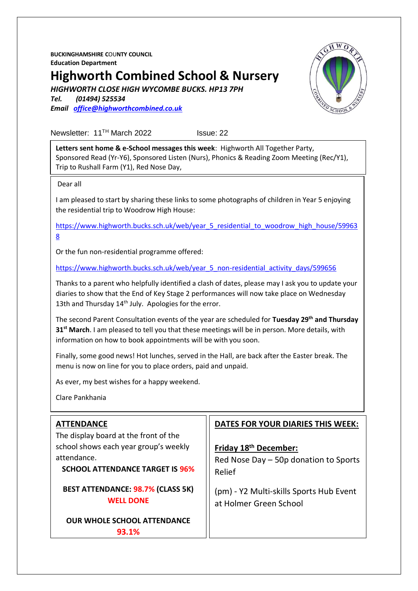**BUCKINGHAMSHIRE C**OU**NTY COUNCIL Education Department**

## **Highworth Combined School & Nursery**

*HIGHWORTH CLOSE HIGH WYCOMBE BUCKS. HP13 7PH*

*Tel. (01494) 525534 Email [office@highworthcombined.co.uk](mailto:office@highworthcombined.co.uk)*



Newsletter: 11<sup>TH</sup> March 2022 Issue: 22

**Letters sent home & e-School messages this week**: Highworth All Together Party, Sponsored Read (Yr-Y6), Sponsored Listen (Nurs), Phonics & Reading Zoom Meeting (Rec/Y1), Trip to Rushall Farm (Y1), Red Nose Day,

Dear all

I am pleased to start by sharing these links to some photographs of children in Year 5 enjoying the residential trip to Woodrow High House:

[https://www.highworth.bucks.sch.uk/web/year\\_5\\_residential\\_to\\_woodrow\\_high\\_house/59963](https://www.highworth.bucks.sch.uk/web/year_5_residential_to_woodrow_high_house/599638) [8](https://www.highworth.bucks.sch.uk/web/year_5_residential_to_woodrow_high_house/599638)

Or the fun non-residential programme offered:

[https://www.highworth.bucks.sch.uk/web/year\\_5\\_non-residential\\_activity\\_days/599656](https://www.highworth.bucks.sch.uk/web/year_5_non-residential_activity_days/599656)

Thanks to a parent who helpfully identified a clash of dates, please may I ask you to update your diaries to show that the End of Key Stage 2 performances will now take place on Wednesday 13th and Thursday  $14<sup>th</sup>$  July. Apologies for the error.

The second Parent Consultation events of the year are scheduled for **Tuesday 29th and Thursday 31st March**. I am pleased to tell you that these meetings will be in person. More details, with information on how to book appointments will be with you soon.

Finally, some good news! Hot lunches, served in the Hall, are back after the Easter break. The menu is now on line for you to place orders, paid and unpaid.

As ever, my best wishes for a happy weekend.

Clare Pankhania

| <b>ATTENDANCE</b><br>The display board at the front of the<br>school shows each year group's weekly<br>attendance. | DATES FOR YOUR DIARIES THIS WEEK:<br>Friday 18th December:<br>Red Nose Day - 50p donation to Sports |
|--------------------------------------------------------------------------------------------------------------------|-----------------------------------------------------------------------------------------------------|
| <b>SCHOOL ATTENDANCE TARGET IS 96%</b>                                                                             | Relief                                                                                              |
| <b>BEST ATTENDANCE: 98.7% (CLASS 5K)</b><br><b>WELL DONE</b>                                                       | (pm) - Y2 Multi-skills Sports Hub Event<br>at Holmer Green School                                   |
| <b>OUR WHOLE SCHOOL ATTENDANCE</b>                                                                                 |                                                                                                     |